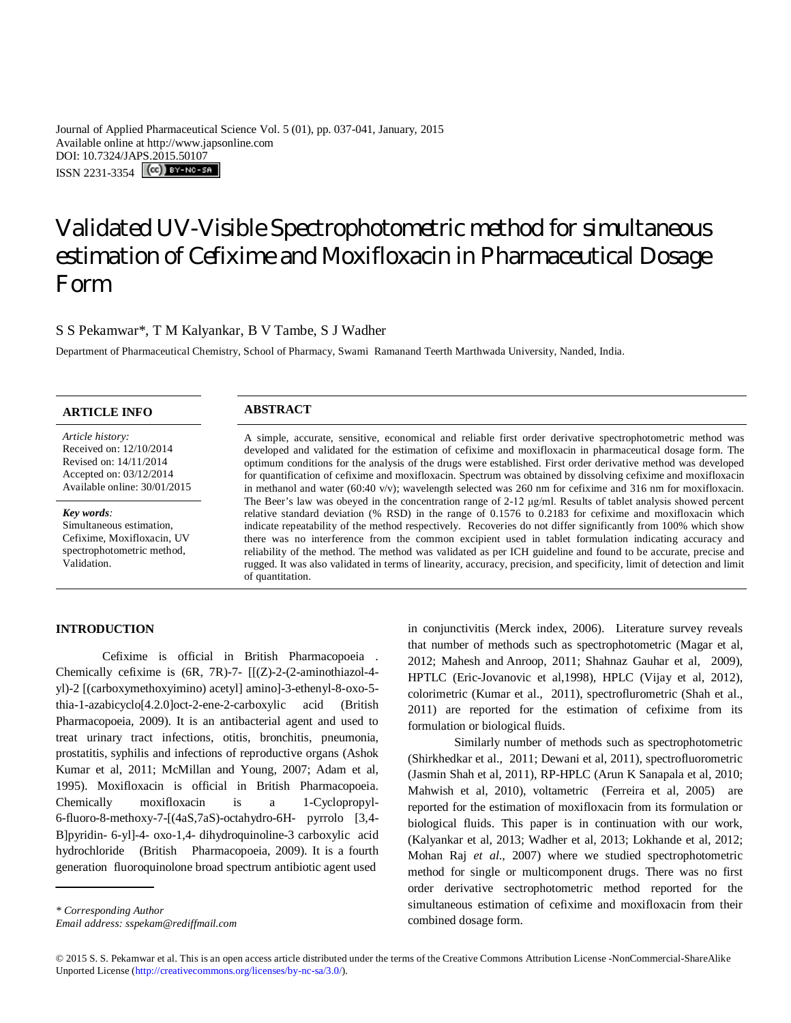Journal of Applied Pharmaceutical Science Vol. 5 (01), pp. 037-041, January, 2015 Available online at http://www.japsonline.com DOI: 10.7324/JAPS.2015.50107 ISSN 2231-3354 (CC) BY-NO-SA

# Validated UV-Visible Spectrophotometric method for simultaneous estimation of Cefixime and Moxifloxacin in Pharmaceutical Dosage Form

# S S Pekamwar\*, T M Kalyankar, B V Tambe, S J Wadher

Department of Pharmaceutical Chemistry, School of Pharmacy, Swami Ramanand Teerth Marthwada University, Nanded, India.

| <b>ARTICLE INFO</b>                                                                                                              | <b>ABSTRACT</b>                                                                                                                                                                                                                                                                                                                                                                                                                                                                                                                                                                                                                                                                                                             |
|----------------------------------------------------------------------------------------------------------------------------------|-----------------------------------------------------------------------------------------------------------------------------------------------------------------------------------------------------------------------------------------------------------------------------------------------------------------------------------------------------------------------------------------------------------------------------------------------------------------------------------------------------------------------------------------------------------------------------------------------------------------------------------------------------------------------------------------------------------------------------|
| Article history:<br>Received on: 12/10/2014<br>Revised on: 14/11/2014<br>Accepted on: 03/12/2014<br>Available online: 30/01/2015 | A simple, accurate, sensitive, economical and reliable first order derivative spectrophotometric method was<br>developed and validated for the estimation of cefixime and moxifloxacin in pharmaceutical dosage form. The<br>optimum conditions for the analysis of the drugs were established. First order derivative method was developed<br>for quantification of cefixime and moxifloxacin. Spectrum was obtained by dissolving cefixime and moxifloxacin<br>in methanol and water (60:40 v/v); wavelength selected was 260 nm for cefixime and 316 nm for moxifloxacin.                                                                                                                                                |
| Key words:<br>Simultaneous estimation,<br>Cefixime, Moxifloxacin, UV<br>spectrophotometric method,<br>Validation.                | The Beer's law was obeyed in the concentration range of 2-12 $\mu$ g/ml. Results of tablet analysis showed percent<br>relative standard deviation (% RSD) in the range of 0.1576 to 0.2183 for cefixime and moxifloxacin which<br>indicate repeatability of the method respectively. Recoveries do not differ significantly from 100% which show<br>there was no interference from the common excipient used in tablet formulation indicating accuracy and<br>reliability of the method. The method was validated as per ICH guideline and found to be accurate, precise and<br>rugged. It was also validated in terms of linearity, accuracy, precision, and specificity, limit of detection and limit<br>of quantitation. |

# **INTRODUCTION**

Cefixime is official in British Pharmacopoeia . Chemically cefixime is (6R, 7R)-7- [[(Z)-2-(2-aminothiazol-4 yl)-2 [(carboxymethoxyimino) acetyl] amino]-3-ethenyl-8-oxo-5 thia-1-azabicyclo[4.2.0]oct-2-ene-2-carboxylic acid (British Pharmacopoeia, 2009). It is an antibacterial agent and used to treat urinary tract infections, otitis, bronchitis, pneumonia, prostatitis, syphilis and infections of reproductive organs (Ashok Kumar et al, 2011; McMillan and Young, 2007; Adam et al, 1995). Moxifloxacin is official in British Pharmacopoeia. Chemically moxifloxacin is a 1-Cyclopropyl-6-fluoro-8-methoxy-7-[(4aS,7aS)-octahydro-6H- pyrrolo [3,4- B]pyridin- 6-yl]-4- oxo-1,4- dihydroquinoline-3 carboxylic acid hydrochloride (British Pharmacopoeia, 2009). It is a fourth generation fluoroquinolone broad spectrum antibiotic agent used

*Email address: sspekam@rediffmail.com*

in conjunctivitis (Merck index, 2006). Literature survey reveals that number of methods such as spectrophotometric (Magar et al, 2012; Mahesh and Anroop, 2011; Shahnaz Gauhar et al, 2009), HPTLC (Eric-Jovanovic et al,1998), HPLC (Vijay et al, 2012), colorimetric (Kumar et al., 2011), spectroflurometric (Shah et al., 2011) are reported for the estimation of cefixime from its formulation or biological fluids.

Similarly number of methods such as spectrophotometric (Shirkhedkar et al., 2011; Dewani et al, 2011), spectrofluorometric (Jasmin Shah et al, 2011), RP-HPLC (Arun K Sanapala et al, 2010; Mahwish et al, 2010), voltametric (Ferreira et al, 2005) are reported for the estimation of moxifloxacin from its formulation or biological fluids. This paper is in continuation with our work, (Kalyankar et al, 2013; Wadher et al, 2013; Lokhande et al, 2012; Mohan Raj *et al.,* 2007) where we studied spectrophotometric method for single or multicomponent drugs. There was no first order derivative sectrophotometric method reported for the simultaneous estimation of cefixime and moxifloxacin from their combined dosage form.

*<sup>\*</sup> Corresponding Author*

<sup>© 2015</sup> S. S. Pekamwar et al. This is an open access article distributed under the terms of the Creative Commons Attribution License -NonCommercial-ShareAlike Unported License (http://creativecommons.org/licenses/by-nc-sa/3.0/).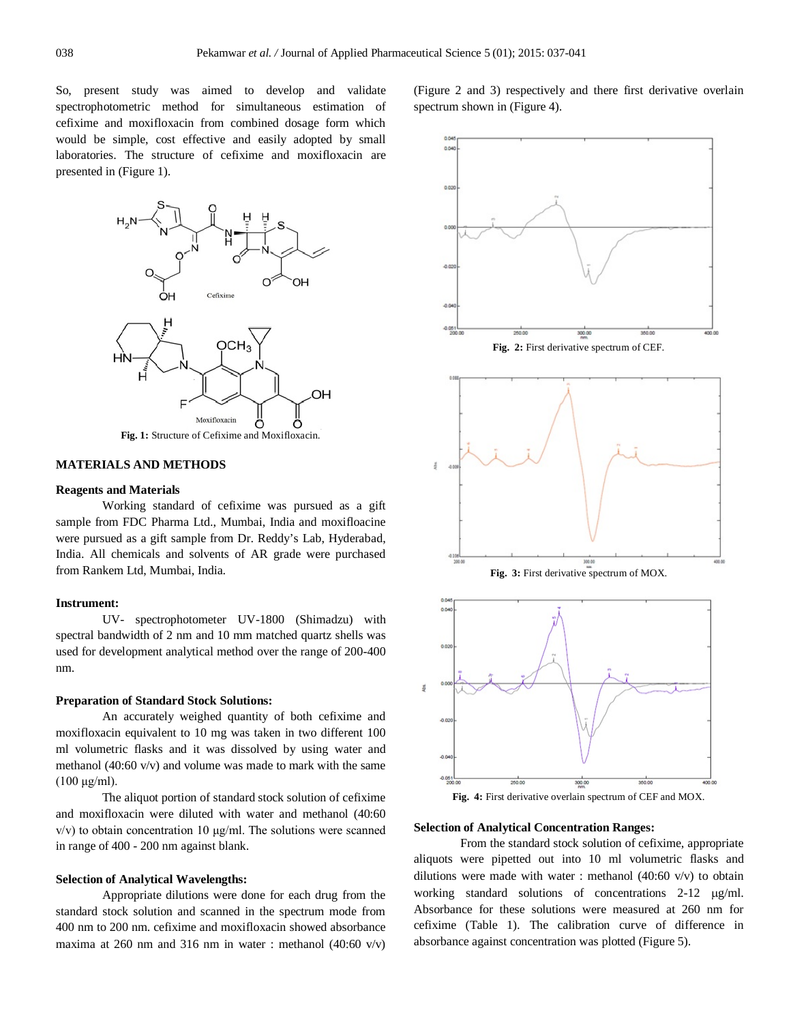So, present study was aimed to develop and validate spectrophotometric method for simultaneous estimation of cefixime and moxifloxacin from combined dosage form which would be simple, cost effective and easily adopted by small laboratories. The structure of cefixime and moxifloxacin are presented in (Figure 1).



**Fig. 1:** Structure of Cefixime and Moxifloxacin.

# **MATERIALS AND METHODS**

# **Reagents and Materials**

Working standard of cefixime was pursued as a gift sample from FDC Pharma Ltd., Mumbai, India and moxifloacine were pursued as a gift sample from Dr. Reddy's Lab, Hyderabad, India. All chemicals and solvents of AR grade were purchased from Rankem Ltd, Mumbai, India.

## **Instrument:**

UV- spectrophotometer UV-1800 (Shimadzu) with spectral bandwidth of 2 nm and 10 mm matched quartz shells was used for development analytical method over the range of 200-400 nm.

# **Preparation of Standard Stock Solutions:**

An accurately weighed quantity of both cefixime and moxifloxacin equivalent to 10 mg was taken in two different 100 ml volumetric flasks and it was dissolved by using water and methanol (40:60 v/v) and volume was made to mark with the same  $(100 \mu g/ml)$ .

The aliquot portion of standard stock solution of cefixime and moxifloxacin were diluted with water and methanol (40:60 v/v) to obtain concentration 10 μg/ml. The solutions were scanned in range of 400 - 200 nm against blank.

# **Selection of Analytical Wavelengths:**

Appropriate dilutions were done for each drug from the standard stock solution and scanned in the spectrum mode from 400 nm to 200 nm. cefixime and moxifloxacin showed absorbance maxima at 260 nm and 316 nm in water : methanol  $(40:60 \text{ v/v})$ 





**Fig. 4:** First derivative overlain spectrum of CEF and MOX.

## **Selection of Analytical Concentration Ranges:**

From the standard stock solution of cefixime, appropriate aliquots were pipetted out into 10 ml volumetric flasks and dilutions were made with water : methanol  $(40:60 \text{ v/v})$  to obtain working standard solutions of concentrations  $2-12 \mu g/ml$ . Absorbance for these solutions were measured at 260 nm for cefixime (Table 1). The calibration curve of difference in absorbance against concentration was plotted (Figure 5).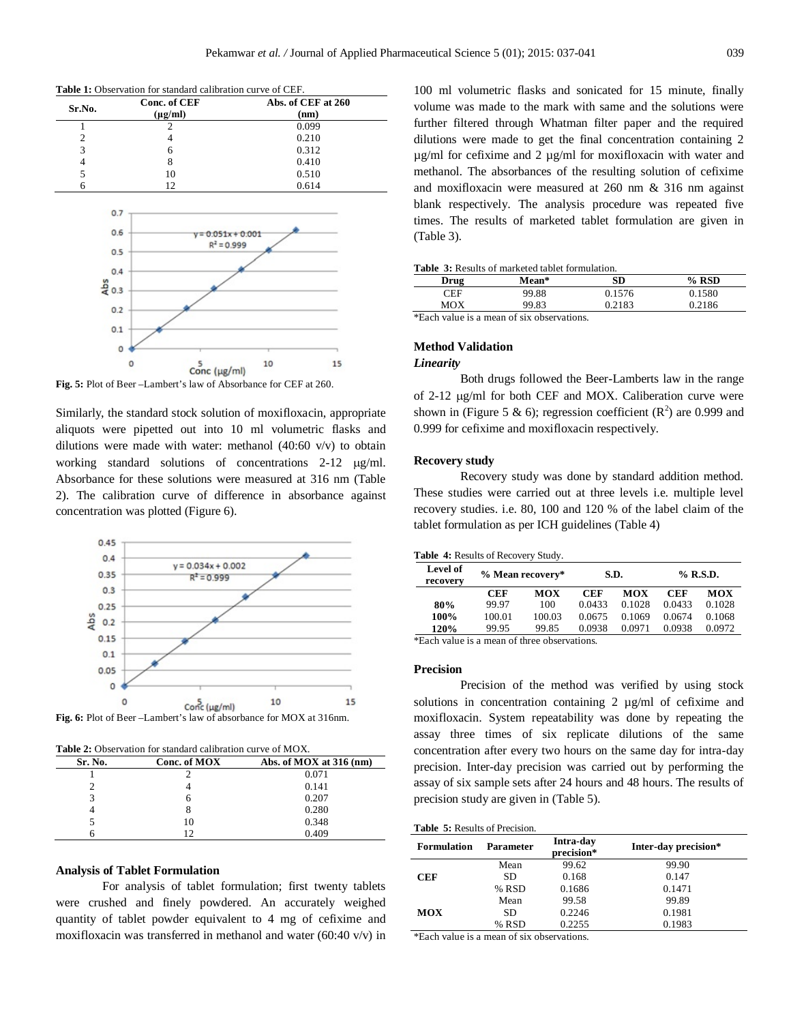| <b>Table 1:</b> Observation for standard calibration curve of CEF. |                              |                            |  |  |  |
|--------------------------------------------------------------------|------------------------------|----------------------------|--|--|--|
| Sr.No.                                                             | Conc. of CEF<br>$(\mu g/ml)$ | Abs. of CEF at 260<br>(nm) |  |  |  |
|                                                                    |                              | 0.099                      |  |  |  |
| 2                                                                  |                              | 0.210                      |  |  |  |
| 3                                                                  | 6                            | 0.312                      |  |  |  |
| 4                                                                  | 8                            | 0.410                      |  |  |  |
| 5                                                                  | 10                           | 0.510                      |  |  |  |
| 6                                                                  | ר ו                          | 0.614                      |  |  |  |



**Fig. 5:** Plot of Beer –Lambert's law of Absorbance for CEF at 260.

Similarly, the standard stock solution of moxifloxacin, appropriate aliquots were pipetted out into 10 ml volumetric flasks and dilutions were made with water: methanol  $(40:60 \text{ v/v})$  to obtain working standard solutions of concentrations  $2-12 \mu g/ml$ . Absorbance for these solutions were measured at 316 nm (Table 2). The calibration curve of difference in absorbance against concentration was plotted (Figure 6).



**Fig. 6:** Plot of Beer –Lambert's law of absorbance for MOX at 316nm.

| <b>Table 2:</b> Observation for standard calibration curve of MOX. |  |
|--------------------------------------------------------------------|--|
|--------------------------------------------------------------------|--|

| Sr. No. | Conc. of MOX | Abs. of $MOX$ at 316 (nm) |
|---------|--------------|---------------------------|
|         |              | 0.071                     |
|         |              | 0.141                     |
|         | n            | 0.207                     |
|         | x            | 0.280                     |
|         | 10           | 0.348                     |
|         | 1つ           | 0.409                     |

## **Analysis of Tablet Formulation**

For analysis of tablet formulation; first twenty tablets were crushed and finely powdered. An accurately weighed quantity of tablet powder equivalent to 4 mg of cefixime and moxifloxacin was transferred in methanol and water (60:40 v/v) in 100 ml volumetric flasks and sonicated for 15 minute, finally volume was made to the mark with same and the solutions were further filtered through Whatman filter paper and the required dilutions were made to get the final concentration containing 2 µg/ml for cefixime and 2 µg/ml for moxifloxacin with water and methanol. The absorbances of the resulting solution of cefixime and moxifloxacin were measured at 260 nm & 316 nm against blank respectively. The analysis procedure was repeated five times. The results of marketed tablet formulation are given in (Table 3).

|  |  |  |  |  |  | <b>Table 3:</b> Results of marketed tablet formulation. |
|--|--|--|--|--|--|---------------------------------------------------------|
|--|--|--|--|--|--|---------------------------------------------------------|

| Drug | <b>Mean*</b> | SD     | $%$ RSD |
|------|--------------|--------|---------|
| CEF  | 99.88        | 0.1576 | 0.1580  |
| MOX  | 99.83        | 0.2183 | 0.2186  |
|      |              |        |         |

\*Each value is a mean of six observations.

# **Method Validation**

# *Linearity*

Both drugs followed the Beer-Lamberts law in the range of 2-12 µg/ml for both CEF and MOX. Caliberation curve were shown in (Figure 5 & 6); regression coefficient  $(R^2)$  are 0.999 and 0.999 for cefixime and moxifloxacin respectively.

#### **Recovery study**

Recovery study was done by standard addition method. These studies were carried out at three levels i.e. multiple level recovery studies. i.e. 80, 100 and 120 % of the label claim of the tablet formulation as per ICH guidelines (Table 4)

#### **Table 4:** Results of Recovery Study.

| Level of<br>recovery                             | % Mean recovery* |            | S.D.       |            | % R.S.D.   |            |
|--------------------------------------------------|------------------|------------|------------|------------|------------|------------|
|                                                  | <b>CEF</b>       | <b>MOX</b> | <b>CEF</b> | <b>MOX</b> | <b>CEF</b> | <b>MOX</b> |
| 80%                                              | 99.97            | 100        | 0.0433     | 0.1028     | 0.0433     | 0.1028     |
| 100%                                             | 100.01           | 100.03     | 0.0675     | 0.1069     | 0.0674     | 0.1068     |
| 120%                                             | 99.95            | 99.85      | 0.0938     | 0.0971     | 0.0938     | 0.0972     |
| $*E$ aab xalu a is a maan af thuas absourations. |                  |            |            |            |            |            |

Each value is a mean of three observations.

## **Precision**

Precision of the method was verified by using stock solutions in concentration containing  $2 \mu g/ml$  of cefixime and moxifloxacin. System repeatability was done by repeating the assay three times of six replicate dilutions of the same concentration after every two hours on the same day for intra-day precision. Inter-day precision was carried out by performing the assay of six sample sets after 24 hours and 48 hours. The results of precision study are given in (Table 5).

**Table 5:** Results of Precision.

| <b>Formulation</b> | Parameter | Intra-day<br>precision* | Inter-day precision* |
|--------------------|-----------|-------------------------|----------------------|
|                    | Mean      | 99.62                   | 99.90                |
| CEF                | SD.       | 0.168                   | 0.147                |
|                    | % RSD     | 0.1686                  | 0.1471               |
|                    | Mean      | 99.58                   | 99.89                |
| <b>MOX</b>         | SD        | 0.2246                  | 0.1981               |
|                    | % RSD     | 0.2255                  | 0.1983               |

\*Each value is a mean of six observations.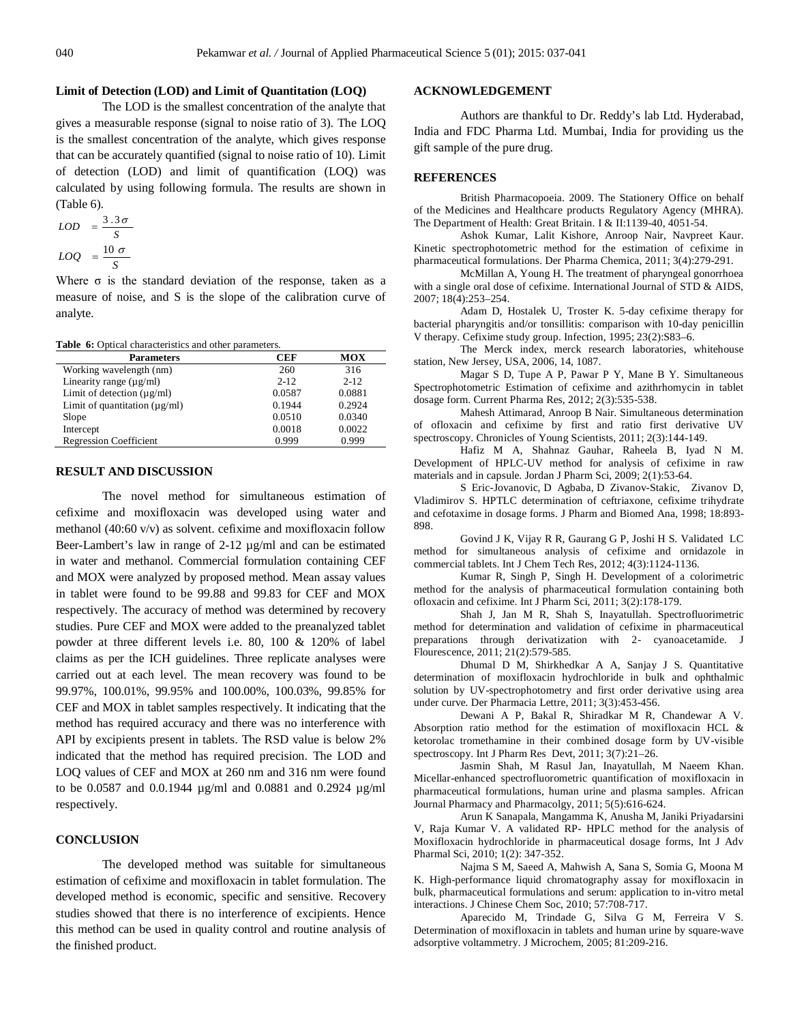# **Limit of Detection (LOD) and Limit of Quantitation (LOQ)**

The LOD is the smallest concentration of the analyte that gives a measurable response (signal to noise ratio of 3). The LOQ is the smallest concentration of the analyte, which gives response that can be accurately quantified (signal to noise ratio of 10). Limit of detection (LOD) and limit of quantification (LOQ) was calculated by using following formula. The results are shown in (Table 6).

$$
LOD = \frac{3.3\sigma}{S}
$$

$$
LOQ = \frac{10\sigma}{S}
$$

Where  $\sigma$  is the standard deviation of the response, taken as a measure of noise, and S is the slope of the calibration curve of analyte.

#### **Table 6:** Optical characteristics and other parameters.

| <b>Parameters</b>                  | CEF      | <b>MOX</b> |
|------------------------------------|----------|------------|
| Working wavelength (nm)            | 260      | 316        |
| Linearity range $(\mu g/ml)$       | $2 - 12$ | $2 - 12$   |
| Limit of detection $(\mu g/ml)$    | 0.0587   | 0.0881     |
| Limit of quantitation $(\mu g/ml)$ | 0.1944   | 0.2924     |
| Slope                              | 0.0510   | 0.0340     |
| Intercept                          | 0.0018   | 0.0022     |
| <b>Regression Coefficient</b>      | 0.999    | 0.999      |

## **RESULT AND DISCUSSION**

The novel method for simultaneous estimation of cefixime and moxifloxacin was developed using water and methanol (40:60 v/v) as solvent. cefixime and moxifloxacin follow Beer-Lambert's law in range of 2-12  $\mu$ g/ml and can be estimated in water and methanol. Commercial formulation containing CEF and MOX were analyzed by proposed method. Mean assay values in tablet were found to be 99.88 and 99.83 for CEF and MOX respectively. The accuracy of method was determined by recovery studies. Pure CEF and MOX were added to the preanalyzed tablet powder at three different levels i.e. 80, 100 & 120% of label claims as per the ICH guidelines. Three replicate analyses were carried out at each level. The mean recovery was found to be 99.97%, 100.01%, 99.95% and 100.00%, 100.03%, 99.85% for CEF and MOX in tablet samples respectively. It indicating that the method has required accuracy and there was no interference with API by excipients present in tablets. The RSD value is below 2% indicated that the method has required precision. The LOD and LOQ values of CEF and MOX at 260 nm and 316 nm were found to be 0.0587 and 0.0.1944 µg/ml and 0.0881 and 0.2924 µg/ml respectively.

# **CONCLUSION**

The developed method was suitable for simultaneous estimation of cefixime and moxifloxacin in tablet formulation. The developed method is economic, specific and sensitive. Recovery studies showed that there is no interference of excipients. Hence this method can be used in quality control and routine analysis of the finished product.

## **ACKNOWLEDGEMENT**

Authors are thankful to Dr. Reddy's lab Ltd. Hyderabad, India and FDC Pharma Ltd. Mumbai, India for providing us the gift sample of the pure drug.

# **REFERENCES**

British Pharmacopoeia. 2009. The Stationery Office on behalf of the Medicines and Healthcare products Regulatory Agency (MHRA). The Department of Health: Great Britain. I & II:1139-40, 4051-54.

Ashok Kumar, Lalit Kishore, Anroop Nair, Navpreet Kaur. Kinetic spectrophotometric method for the estimation of cefixime in pharmaceutical formulations. Der Pharma Chemica, 2011; 3(4):279-291.

McMillan A, Young H. The treatment of pharyngeal gonorrhoea with a single oral dose of cefixime. International Journal of STD & AIDS, 2007; 18(4):253–254.

Adam D, Hostalek U, Troster K. 5-day cefixime therapy for bacterial pharyngitis and/or tonsillitis: comparison with 10-day penicillin V therapy. Cefixime study group. Infection, 1995; 23(2):S83–6.

The Merck index, merck research laboratories, whitehouse station, New Jersey, USA, 2006, 14, 1087.

Magar S D, Tupe A P, Pawar P Y, Mane B Y. Simultaneous Spectrophotometric Estimation of cefixime and azithrhomycin in tablet dosage form. Current Pharma Res, 2012; 2(3):535-538.

Mahesh Attimarad, Anroop B Nair. Simultaneous determination of ofloxacin and cefixime by first and ratio first derivative UV spectroscopy. Chronicles of Young Scientists, 2011; 2(3):144-149.

Hafiz M A, Shahnaz Gauhar, Raheela B, Iyad N M. Development of HPLC-UV method for analysis of cefixime in raw materials and in capsule. Jordan J Pharm Sci, 2009; 2(1):53-64.

S Eric-Jovanovic, D Agbaba, D Zivanov-Stakic, Zivanov D, Vladimirov S. HPTLC determination of ceftriaxone, cefixime trihydrate and cefotaxime in dosage forms. J Pharm and Biomed Ana, 1998; 18:893- 898.

Govind J K, Vijay R R, Gaurang G P, Joshi H S. Validated LC method for simultaneous analysis of cefixime and ornidazole in commercial tablets. Int J Chem Tech Res, 2012; 4(3):1124-1136.

Kumar R, Singh P, Singh H. Development of a colorimetric method for the analysis of pharmaceutical formulation containing both ofloxacin and cefixime. Int J Pharm Sci, 2011; 3(2):178-179.

Shah J, Jan M R, Shah S, Inayatullah. Spectrofluorimetric method for determination and validation of cefixime in pharmaceutical preparations through derivatization with 2- cyanoacetamide. J Flourescence, 2011; 21(2):579-585.

Dhumal D M, Shirkhedkar A A, Sanjay J S. Quantitative determination of moxifloxacin hydrochloride in bulk and ophthalmic solution by UV-spectrophotometry and first order derivative using area under curve. Der Pharmacia Lettre, 2011; 3(3):453-456.

Dewani A P, Bakal R, Shiradkar M R, Chandewar A V. Absorption ratio method for the estimation of moxifloxacin HCL & ketorolac tromethamine in their combined dosage form by UV-visible spectroscopy. Int J Pharm Res Devt, 2011; 3(7):21-26.

Jasmin Shah, M Rasul Jan, Inayatullah, M Naeem Khan. Micellar-enhanced spectrofluorometric quantification of moxifloxacin in pharmaceutical formulations, human urine and plasma samples. African Journal Pharmacy and Pharmacolgy, 2011; 5(5):616-624.

Arun K Sanapala, Mangamma K, Anusha M, Janiki Priyadarsini V, Raja Kumar V. A validated RP- HPLC method for the analysis of Moxifloxacin hydrochloride in pharmaceutical dosage forms, Int J Adv Pharmal Sci, 2010; 1(2): 347-352.

Najma S M, Saeed A, Mahwish A, Sana S, Somia G, Moona M K. High-performance liquid chromatography assay for moxifloxacin in bulk, pharmaceutical formulations and serum: application to in-vitro metal interactions. J Chinese Chem Soc, 2010; 57:708-717.

Aparecido M, Trindade G, Silva G M, Ferreira V S. Determination of moxifloxacin in tablets and human urine by square-wave adsorptive voltammetry. J Microchem, 2005; 81:209-216.